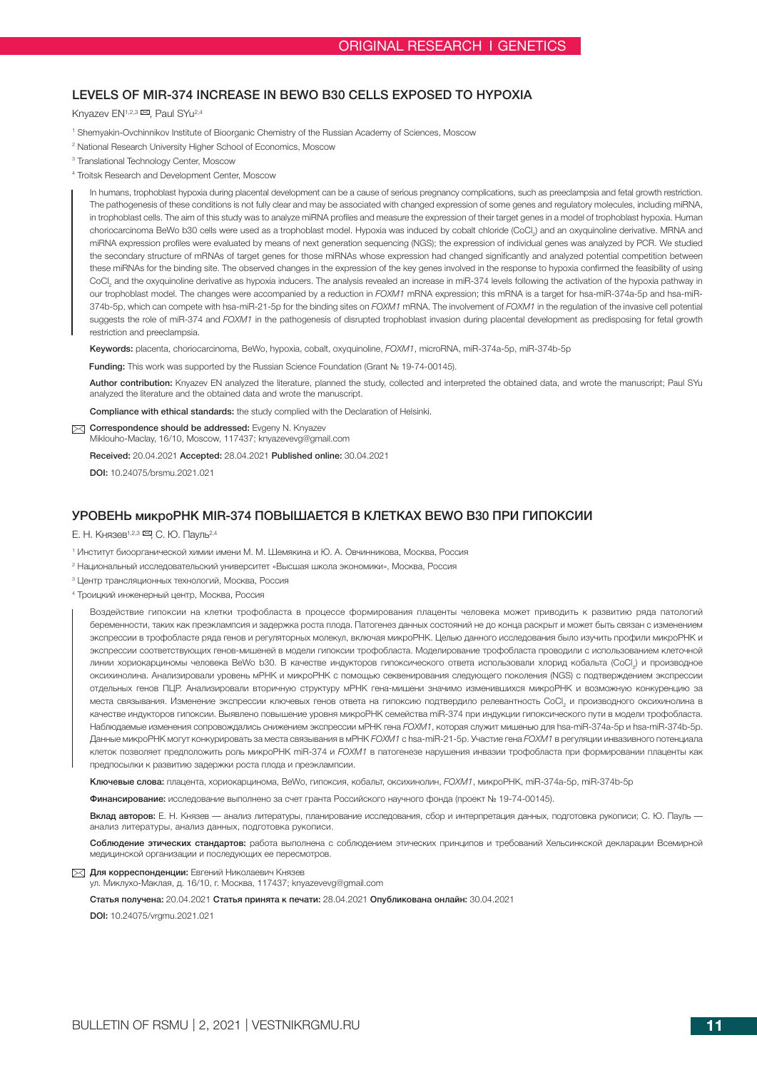# LEVELS OF MIR-374 INCREASE IN BEWO B30 CELLS EXPOSED TO HYPOXIA

## Knyazev EN<sup>1,2,3</sup>  $\boxtimes$ , Paul SYu<sup>2,4</sup>

- 1 Shemyakin-Ovchinnikov Institute of Bioorganic Chemistry of the Russian Academy of Sciences, Moscow
- 2 National Research University Higher School of Economics, Moscow
- 3 Translational Technology Center, Moscow
- 4 Troitsk Research and Development Center, Moscow

In humans, trophoblast hypoxia during placental development can be a cause of serious pregnancy complications, such as preeclampsia and fetal growth restriction. The pathogenesis of these conditions is not fully clear and may be associated with changed expression of some genes and regulatory molecules, including miRNA, in trophoblast cells. The aim of this study was to analyze miRNA profiles and measure the expression of their target genes in a model of trophoblast hypoxia. Human choriocarcinoma BeWo b30 cells were used as a trophoblast model. Hypoxia was induced by cobalt chloride (CoCl<sub>2</sub>) and an oxyquinoline derivative. MRNA and miRNA expression profiles were evaluated by means of next generation sequencing (NGS); the expression of individual genes was analyzed by PCR. We studied the secondary structure of mRNAs of target genes for those miRNAs whose expression had changed significantly and analyzed potential competition between these miRNAs for the binding site. The observed changes in the expression of the key genes involved in the response to hypoxia confirmed the feasibility of using CoCl<sub>2</sub> and the oxyquinoline derivative as hypoxia inducers. The analysis revealed an increase in miR-374 levels following the activation of the hypoxia pathway in our trophoblast model. The changes were accompanied by a reduction in *FOXM1* mRNA expression; this mRNA is a target for hsa-miR-374a-5p and hsa-miR-374b-5p, which can compete with hsa-miR-21-5p for the binding sites on *FOXM1* mRNA. The involvement of *FOXM1* in the regulation of the invasive cell potential suggests the role of miR-374 and *FOXM1* in the pathogenesis of disrupted trophoblast invasion during placental development as predisposing for fetal growth restriction and preeclampsia.

Keywords: placenta, choriocarcinoma, BeWo, hypoxia, cobalt, oxyquinoline, *FOXM1*, microRNA, miR-374a-5p, miR-374b-5p

Funding: This work was supported by the Russian Science Foundation (Grant No 19-74-00145).

Author contribution: Knyazev EN analyzed the literature, planned the study, collected and interpreted the obtained data, and wrote the manuscript; Paul SYu analyzed the literature and the obtained data and wrote the manuscript.

Compliance with ethical standards: the study complied with the Declaration of Helsinki.

Correspondence should be addressed: Evgeny N. Knyazev

Miklouho-Maclay, 16/10, Moscow, 117437; knyazevevg@gmail.com

Received: 20.04.2021 Accepted: 28.04.2021 Published online: 30.04.2021

DOI: 10.24075/brsmu.2021.021

## УРОВЕНЬ микроРНК MIR-374 ПОВЫШАЕТСЯ В КЛЕТКАХ BEWO B30 ПРИ ГИПОКСИИ

Е. Н. Князев<sup>1,2,3</sup> ⊠, С. Ю. Пауль<sup>2,4</sup>

- 1 Институт биоорганической химии имени М. М. Шемякина и Ю. А. Овчинникова, Москва, Россия
- 2 Национальный исследовательский университет «Высшая школа экономики», Москва, Россия
- 3 Центр трансляционных технологий, Москва, Россия
- 4 Троицкий инженерный центр, Москва, Россия

Воздействие гипоксии на клетки трофобласта в процессе формирования плаценты человека может приводить к развитию ряда патологий беременности, таких как преэклампсия и задержка роста плода. Патогенез данных состояний не до конца раскрыт и может быть связан с изменением экспрессии в трофобласте ряда генов и регуляторных молекул, включая микроРНК. Целью данного исследования было изучить профили микроРНК и экспрессии соответствующих генов-мишеней в модели гипоксии трофобласта. Моделирование трофобласта проводили с использованием клеточной линии хориокарциномы человека BeWo b30. В качестве индукторов гипоксического ответа использовали хлорид кобальта (CoCl<sub>2</sub>) и производное оксихинолина. Анализировали уровень мРНК и микроРНК с помощью секвенирования следующего поколения (NGS) с подтверждением экспрессии отдельных генов ПЦР. Анализировали вторичную структуру мРНК гена-мишени значимо изменившихся микроРНК и возможную конкуренцию за места связывания. Изменение экспрессии ключевых генов ответа на гипоксию подтвердило релевантность СоСl<sub>2</sub> и производного оксихинолина в качестве индукторов гипоксии. Выявлено повышение уровня микроРНК семейства miR-374 при индукции гипоксического пути в модели трофобласта. Наблюдаемые изменения сопровождались снижением экспрессии мРНК гена *FOXM1*, которая служит мишенью для hsa-miR-374a-5p и hsa-miR-374b-5p. Данные микроРНК могут конкурировать за места связывания в мРНК *FOXM1* с hsa-miR-21-5p. Участие гена *FOXM1* в регуляции инвазивного потенциала клеток позволяет предположить роль микроРНК miR-374 и *FOXM1* в патогенезе нарушения инвазии трофобласта при формировании плаценты как предпосылки к развитию задержки роста плода и преэклампсии.

Ключевые слова: плацента, хориокарцинома, BeWo, гипоксия, кобальт, оксихинолин, *FOXM1*, микроРНК, miR-374a-5p, miR-374b-5p

Финансирование: исследование выполнено за счет гранта Российского научного фонда (проект № 19-74-00145).

Вклад авторов: Е. Н. Князев *—* анализ литературы, планирование исследования, сбор и интерпретация данных, подготовка рукописи; С. Ю. Пауль  анализ литературы, анализ данных, подготовка рукописи.

Соблюдение этических стандартов: работа выполнена с соблюдением этических принципов и требований Хельсинкской декларации Всемирной медицинской организации и последующих ее пересмотров.

 $\nabla$  Для корреспонденции: Евгений Николаевич Князев

ул. Миклухо-Маклая, д. 16/10, г. Москва, 117437; knyazevevg@gmail.com

Статья получена: 20.04.2021 Статья принята к печати: 28.04.2021 Опубликована онлайн: 30.04.2021

DOI: 10.24075/vrgmu.2021.021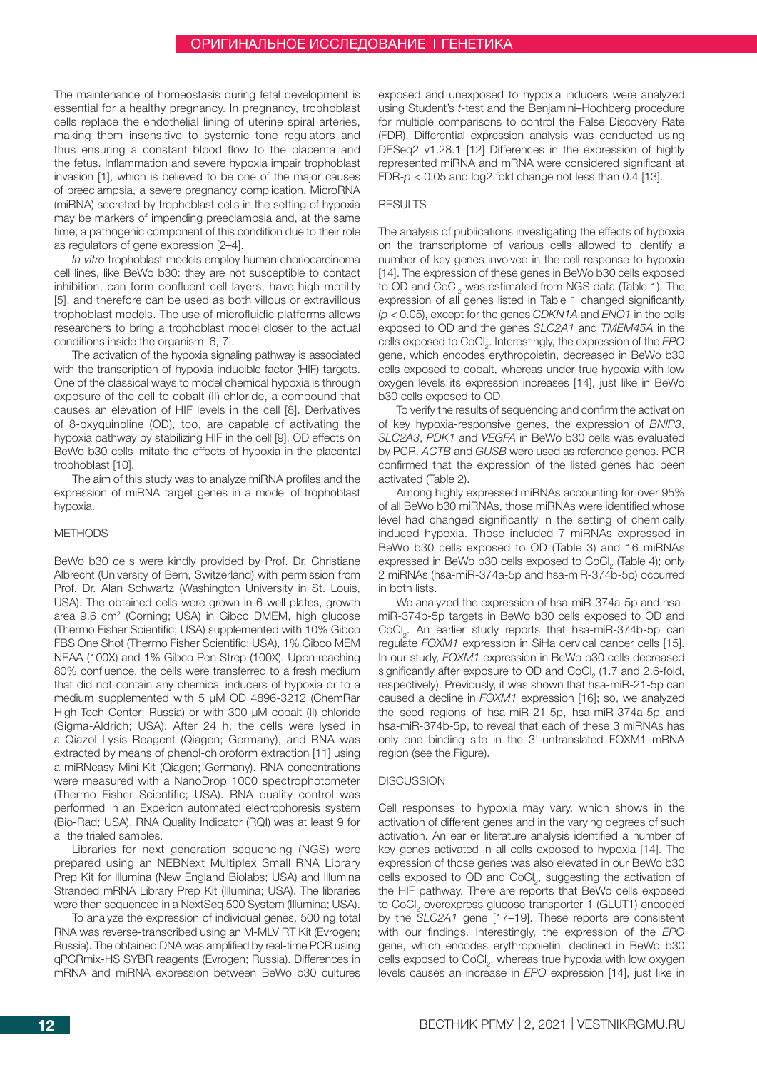The maintenance of homeostasis during fetal development is essential for a healthy pregnancy. In pregnancy, trophoblast cells replace the endothelial lining of uterine spiral arteries, making them insensitive to systemic tone regulators and thus ensuring a constant blood flow to the placenta and the fetus. Inflammation and severe hypoxia impair trophoblast invasion [1], which is believed to be one of the major causes of preeclampsia, a severe pregnancy complication. MicroRNA (miRNA) secreted by trophoblast cells in the setting of hypoxia may be markers of impending preeclampsia and, at the same time, a pathogenic component of this condition due to their role as regulators of gene expression [2–4].

*In vitro* trophoblast models employ human choriocarcinoma cell lines, like BeWo b30: they are not susceptible to contact inhibition, can form confluent cell layers, have high motility [5], and therefore can be used as both villous or extravillous trophoblast models. The use of microfluidic platforms allows researchers to bring a trophoblast model closer to the actual conditions inside the organism [6, 7].

The activation of the hypoxia signaling pathway is associated with the transcription of hypoxia-inducible factor (HIF) targets. One of the classical ways to model chemical hypoxia is through exposure of the cell to cobalt (II) chloride, a compound that causes an elevation of HIF levels in the cell [8]. Derivatives of 8-oxyquinoline (OD), too, are capable of activating the hypoxia pathway by stabilizing HIF in the cell [9]. OD effects on BeWo b30 cells imitate the effects of hypoxia in the placental trophoblast [10].

The aim of this study was to analyze miRNA profiles and the expression of miRNA target genes in a model of trophoblast hypoxia.

## METHODS

BeWo b30 cells were kindly provided by Prof. Dr. Christiane Albrecht (University of Bern, Switzerland) with permission from Prof. Dr. Alan Schwartz (Washington University in St. Louis, USA). The obtained cells were grown in 6-well plates, growth area 9.6 cm<sup>2</sup> (Corning; USA) in Gibco DMEM, high glucose (Thermo Fisher Scientific; USA) supplemented with 10% Gibco FBS One Shot (Thermo Fisher Scientific; USA), 1% Gibco MEM NEAA (100X) and 1% Gibco Pen Strep (100X). Upon reaching 80% confluence, the cells were transferred to a fresh medium that did not contain any chemical inducers of hypoxia or to a medium supplemented with 5 µM OD 4896-3212 (ChemRar High-Tech Center; Russia) or with 300 µM cobalt (II) chloride (Sigma-Aldrich; USA). After 24 h, the cells were lysed in a Qiazol Lysis Reagent (Qiagen; Germany), and RNA was extracted by means of phenol-chloroform extraction [11] using a miRNeasy Mini Kit (Qiagen; Germany). RNA concentrations were measured with a NanoDrop 1000 spectrophotometer (Thermo Fisher Scientific; USA). RNA quality control was performed in an Experion automated electrophoresis system (Bio-Rad; USA). RNA Quality Indicator (RQI) was at least 9 for all the trialed samples.

Libraries for next generation sequencing (NGS) were prepared using an NEBNext Multiplex Small RNA Library Prep Kit for Illumina (New England Biolabs; USA) and Illumina Stranded mRNA Library Prep Kit (Illumina; USA). The libraries were then sequenced in a NextSeq 500 System (Illumina; USA).

To analyze the expression of individual genes, 500 ng total RNA was reverse-transcribed using an M-MLV RT Kit (Evrogen; Russia). The obtained DNA was amplified by real-time PCR using qPCRmix-HS SYBR reagents (Evrogen; Russia). Differences in mRNA and miRNA expression between BeWo b30 cultures

exposed and unexposed to hypoxia inducers were analyzed using Student's *t*-test and the Benjamini–Hochberg procedure for multiple comparisons to control the False Discovery Rate (FDR). Differential expression analysis was conducted using DESeq2 v1.28.1 [12] Differences in the expression of highly represented miRNA and mRNA were considered significant at FDR-*p* < 0.05 and log2 fold change not less than 0.4 [13].

## RESULTS

The analysis of publications investigating the effects of hypoxia on the transcriptome of various cells allowed to identify a number of key genes involved in the cell response to hypoxia [14]. The expression of these genes in BeWo b30 cells exposed to OD and CoCl<sub>2</sub> was estimated from NGS data (Table 1). The expression of all genes listed in Table 1 changed significantly (*p* < 0.05), except for the genes *CDKN1A* and *ENO1* in the cells exposed to OD and the genes *SLC2A1* and *TMEM45A* in the cells exposed to CoCl<sub>2</sub>. Interestingly, the expression of the *EPO* gene, which encodes erythropoietin, decreased in BeWo b30 cells exposed to cobalt, whereas under true hypoxia with low oxygen levels its expression increases [14], just like in BeWo b30 cells exposed to OD.

To verify the results of sequencing and confirm the activation of key hypoxia-responsive genes, the expression of *BNIP3*, *SLC2A3*, *PDK1* and *VEGFA* in BeWo b30 cells was evaluated by PCR. *ACTB* and *GUSB* were used as reference genes. PCR confirmed that the expression of the listed genes had been activated (Table 2).

Among highly expressed miRNAs accounting for over 95% of all BeWo b30 miRNAs, those miRNAs were identified whose level had changed significantly in the setting of chemically induced hypoxia. Those included 7 miRNAs expressed in BeWo b30 cells exposed to OD (Table 3) and 16 miRNAs expressed in BeWo b30 cells exposed to CoCl<sub>2</sub> (Table 4); only 2 miRNAs (hsa-miR-374a-5p and hsa-miR-374b-5p) occurred in both lists.

We analyzed the expression of hsa-miR-374a-5p and hsamiR-374b-5p targets in BeWo b30 cells exposed to OD and CoCl<sub>2</sub>. An earlier study reports that hsa-miR-374b-5p can regulate *FOXM1* expression in SiHa cervical cancer cells [15]. In our study, *FOXM1* expression in BeWo b30 cells decreased significantly after exposure to OD and CoCl<sub>2</sub> (1.7 and 2.6-fold, respectively). Previously, it was shown that hsa-miR-21-5p can caused a decline in *FOXM1* expression [16]; so, we analyzed the seed regions of hsa-miR-21-5p, hsa-miR-374a-5p and hsa-miR-374b-5p, to reveal that each of these 3 miRNAs has only one binding site in the 3'-untranslated FOXM1 mRNA region (see the Figure).

## **DISCUSSION**

Cell responses to hypoxia may vary, which shows in the activation of different genes and in the varying degrees of such activation. An earlier literature analysis identified a number of key genes activated in all cells exposed to hypoxia [14]. The expression of those genes was also elevated in our BeWo b30 cells exposed to OD and CoCl<sub>2</sub>, suggesting the activation of the HIF pathway. There are reports that BeWo cells exposed to CoCl<sub>2</sub> overexpress glucose transporter 1 (GLUT1) encoded by the *SLC2A1* gene [17–19]. These reports are consistent with our findings. Interestingly, the expression of the *EPO* gene, which encodes erythropoietin, declined in BeWo b30 cells exposed to  $CoCl<sub>2</sub>$ , whereas true hypoxia with low oxygen levels causes an increase in *EPO* expression [14], just like in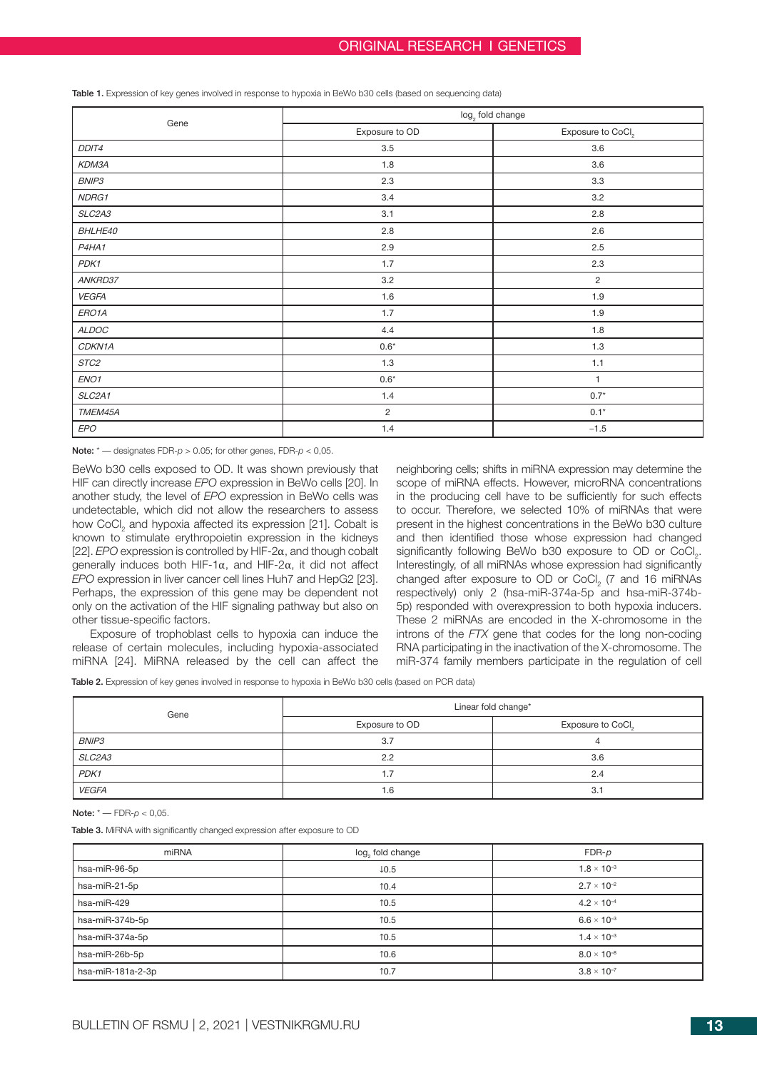| Table 1. Expression of key genes involved in response to hypoxia in BeWo b30 cells (based on sequencing data) |  |
|---------------------------------------------------------------------------------------------------------------|--|
|---------------------------------------------------------------------------------------------------------------|--|

| Gene             | log <sub>2</sub> fold change |                               |
|------------------|------------------------------|-------------------------------|
|                  | Exposure to OD               | Exposure to CoCl <sub>2</sub> |
| DDIT4            | 3.5                          | 3.6                           |
| KDM3A            | 1.8                          | 3.6                           |
| BNIP3            | 2.3                          | 3.3                           |
| NDRG1            | 3.4                          | 3.2                           |
| SLC2A3           | 3.1                          | 2.8                           |
| BHLHE40          | 2.8                          | 2.6                           |
| P4HA1            | 2.9                          | 2.5                           |
| PDK1             | 1.7                          | 2.3                           |
| ANKRD37          | $3.2\,$                      | $\overline{2}$                |
| <b>VEGFA</b>     | $1.6\,$                      | $1.9$                         |
| ERO1A            | 1.7                          | 1.9                           |
| ALDOC            | 4.4                          | 1.8                           |
| CDKN1A           | $0.6^{\star}$                | 1.3                           |
| STC2             | 1.3                          | 1.1                           |
| ENO <sub>1</sub> | $0.6*$                       | $\mathbf{1}$                  |
| SLC2A1           | 1.4                          | $0.7*$                        |
| TMEM45A          | $\overline{c}$               | $0.1*$                        |
| <b>EPO</b>       | 1.4                          | $-1.5$                        |

Note: \* *—* designates FDR-*p* > 0.05; for other genes, FDR-*p* < 0,05.

BeWo b30 cells exposed to OD. It was shown previously that HIF can directly increase *EPO* expression in BeWo cells [20]. In another study, the level of *EPO* expression in BeWo cells was undetectable, which did not allow the researchers to assess how CoCl<sub>2</sub> and hypoxia affected its expression [21]. Cobalt is known to stimulate erythropoietin expression in the kidneys [22]. *EPO* expression is controlled by HIF-2α, and though cobalt generally induces both HIF-1α, and HIF-2α, it did not affect *EPO* expression in liver cancer cell lines Huh7 and HepG2 [23]. Perhaps, the expression of this gene may be dependent not only on the activation of the HIF signaling pathway but also on other tissue-specific factors.

Exposure of trophoblast cells to hypoxia can induce the release of certain molecules, including hypoxia-associated miRNA [24]. MiRNA released by the cell can affect the neighboring cells; shifts in miRNA expression may determine the scope of miRNA effects. However, microRNA concentrations in the producing cell have to be sufficiently for such effects to occur. Therefore, we selected 10% of miRNAs that were present in the highest concentrations in the BeWo b30 culture and then identified those whose expression had changed significantly following BeWo b30 exposure to OD or  $CoCl<sub>2</sub>$ . Interestingly, of all miRNAs whose expression had significantly changed after exposure to OD or CoCl<sub>2</sub> (7 and 16 miRNAs respectively) only 2 (hsa-miR-374a-5p and hsa-miR-374b-5p) responded with overexpression to both hypoxia inducers. These 2 miRNAs are encoded in the X-chromosome in the introns of the *FTX* gene that codes for the long non-coding RNA participating in the inactivation of the X-chromosome. The miR-374 family members participate in the regulation of cell

Table 2. Expression of key genes involved in response to hypoxia in BeWo b30 cells (based on PCR data)

| Gene         | Linear fold change* |                               |
|--------------|---------------------|-------------------------------|
|              | Exposure to OD      | Exposure to CoCl <sub>2</sub> |
| BNIP3        | 3.7                 |                               |
| SLC2A3       | 2.2                 | 3.6                           |
| PDK1         | 1.7                 | 2.4                           |
| <b>VEGFA</b> | 1.6                 | 3.1                           |

Note: \* *—* FDR-*p* < 0,05.

Table 3. MiRNA with significantly changed expression after exposure to OD

| miRNA             | log, fold change | $FDR-p$              |
|-------------------|------------------|----------------------|
| hsa-miR-96-5p     | $\downarrow$ 0.5 | $1.8 \times 10^{-3}$ |
| hsa-miR-21-5p     | 10.4             | $2.7 \times 10^{-2}$ |
| hsa-miR-429       | 10.5             | $4.2 \times 10^{-4}$ |
| hsa-miR-374b-5p   | 10.5             | $6.6 \times 10^{-3}$ |
| hsa-miR-374a-5p   | 10.5             | $1.4 \times 10^{-3}$ |
| hsa-miR-26b-5p    | 10.6             | $8.0 \times 10^{-8}$ |
| hsa-miR-181a-2-3p | 10.7             | $3.8 \times 10^{-7}$ |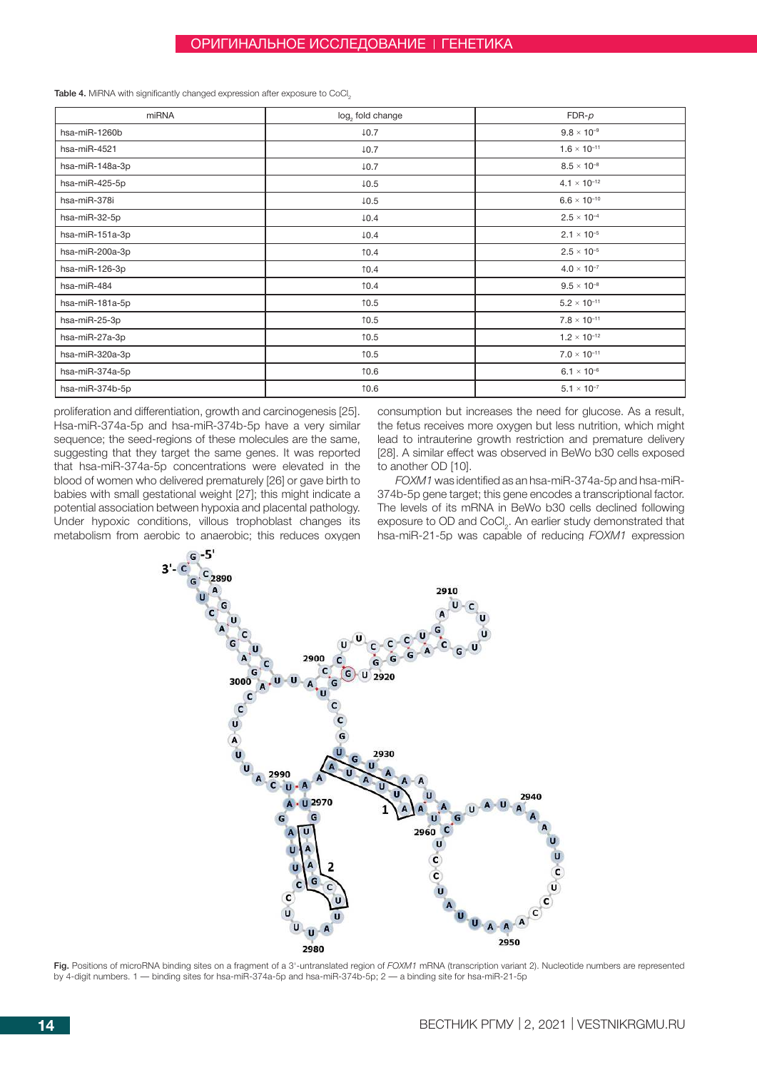Table 4. MiRNA with significantly changed expression after exposure to CoCl<sub>2</sub>

| miRNA           | log, fold change | $FDR-p$               |
|-----------------|------------------|-----------------------|
| hsa-miR-1260b   | $\downarrow$ 0.7 | $9.8 \times 10^{-9}$  |
| hsa-miR-4521    | $\downarrow$ 0.7 | $1.6 \times 10^{-11}$ |
| hsa-miR-148a-3p | $\downarrow$ 0.7 | $8.5 \times 10^{-8}$  |
| hsa-miR-425-5p  | $\downarrow$ 0.5 | $4.1 \times 10^{-12}$ |
| hsa-miR-378i    | $\downarrow$ 0.5 | $6.6 \times 10^{-10}$ |
| hsa-miR-32-5p   | $\downarrow$ 0.4 | $2.5 \times 10^{-4}$  |
| hsa-miR-151a-3p | $\downarrow$ 0.4 | $2.1 \times 10^{-5}$  |
| hsa-miR-200a-3p | 10.4             | $2.5 \times 10^{-5}$  |
| hsa-miR-126-3p  | 10.4             | $4.0 \times 10^{-7}$  |
| hsa-miR-484     | 10.4             | $9.5 \times 10^{-8}$  |
| hsa-miR-181a-5p | 10.5             | $5.2 \times 10^{-11}$ |
| hsa-miR-25-3p   | 10.5             | $7.8 \times 10^{-11}$ |
| hsa-miR-27a-3p  | 10.5             | $1.2 \times 10^{-12}$ |
| hsa-miR-320a-3p | 10.5             | $7.0 \times 10^{-11}$ |
| hsa-miR-374a-5p | 10.6             | $6.1 \times 10^{-6}$  |
| hsa-miR-374b-5p | 10.6             | $5.1 \times 10^{-7}$  |

proliferation and differentiation, growth and carcinogenesis [25]. Hsa-miR-374a-5p and hsa-miR-374b-5p have a very similar sequence; the seed-regions of these molecules are the same, suggesting that they target the same genes. It was reported that hsa-miR-374a-5p concentrations were elevated in the blood of women who delivered prematurely [26] or gave birth to babies with small gestational weight [27]; this might indicate a potential association between hypoxia and placental pathology. Under hypoxic conditions, villous trophoblast changes its metabolism from aerobic to anaerobic; this reduces oxygen

consumption but increases the need for glucose. As a result, the fetus receives more oxygen but less nutrition, which might lead to intrauterine growth restriction and premature delivery [28]. A similar effect was observed in BeWo b30 cells exposed to another OD [10].

*FOXM1* was identified as an hsa-miR-374a-5p and hsa-miR-374b-5p gene target; this gene encodes a transcriptional factor. The levels of its mRNA in BeWo b30 cells declined following exposure to OD and CoCl<sub>2</sub>. An earlier study demonstrated that hsa-miR-21-5p was capable of reducing *FOXM1* expression



Fig. Positions of microRNA binding sites on a fragment of a 3'-untranslated region of *FOXM1* mRNA (transcription variant 2). Nucleotide numbers are represented by 4-digit numbers. 1 *—* binding sites for hsa-miR-374a-5p and hsa-miR-374b-5p; 2 *—* a binding site for hsa-miR-21-5p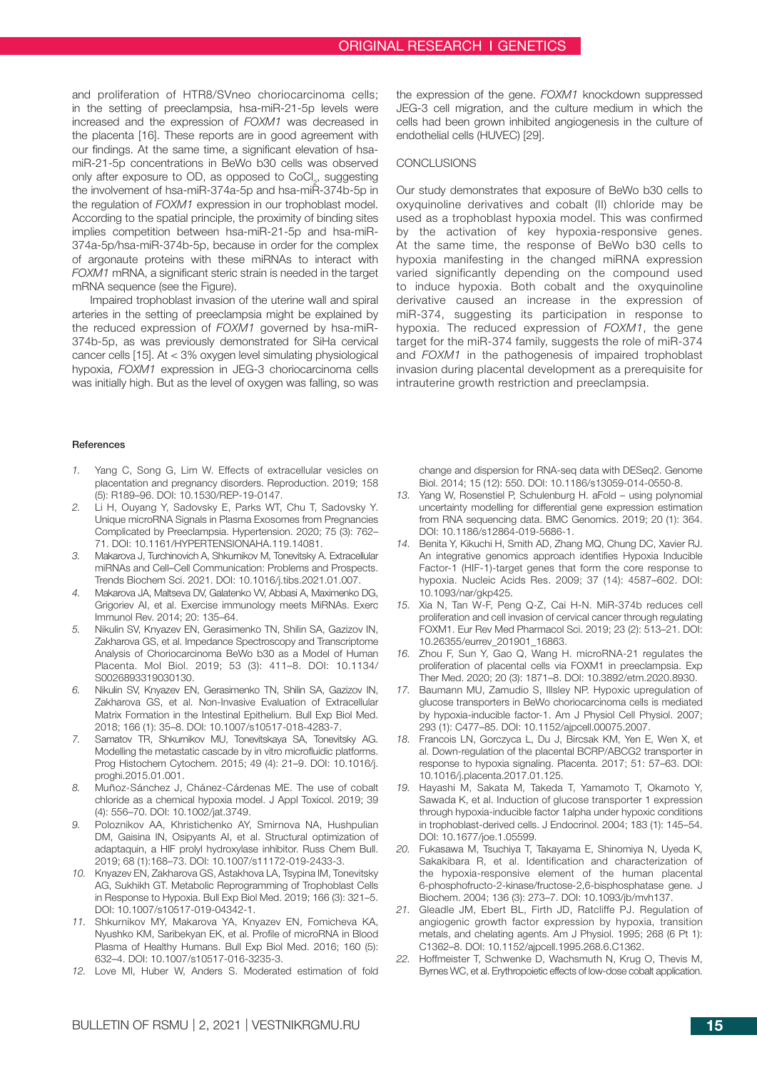and proliferation of HTR8/SVneo choriocarcinoma cells; in the setting of preeclampsia, hsa-miR-21-5p levels were increased and the expression of *FOXM1* was decreased in the placenta [16]. These reports are in good agreement with our findings. At the same time, a significant elevation of hsamiR-21-5p concentrations in BeWo b30 cells was observed only after exposure to OD, as opposed to CoCl<sub>2</sub>, suggesting the involvement of hsa-miR-374a-5p and hsa-miR-374b-5p in the regulation of *FOXM1* expression in our trophoblast model. According to the spatial principle, the proximity of binding sites implies competition between hsa-miR-21-5p and hsa-miR-374a-5p/hsa-miR-374b-5p, because in order for the complex of argonaute proteins with these miRNAs to interact with *FOXM1* mRNA, a significant steric strain is needed in the target mRNA sequence (see the Figure).

Impaired trophoblast invasion of the uterine wall and spiral arteries in the setting of preeclampsia might be explained by the reduced expression of *FOXM1* governed by hsa-miR-374b-5p, as was previously demonstrated for SiHa cervical cancer cells [15]. At < 3% oxygen level simulating physiological hypoxia, *FOXM1* expression in JEG-3 choriocarcinoma cells was initially high. But as the level of oxygen was falling, so was

#### **References**

- *1.* Yang C, Song G, Lim W. Effects of extracellular vesicles on placentation and pregnancy disorders. Reproduction. 2019; 158 (5): R189–96. DOI: 10.1530/REP-19-0147.
- *2.* Li H, Ouyang Y, Sadovsky E, Parks WT, Chu T, Sadovsky Y. Unique microRNA Signals in Plasma Exosomes from Pregnancies Complicated by Preeclampsia. Hypertension. 2020; 75 (3): 762– 71. DOI: 10.1161/HYPERTENSIONAHA.119.14081.
- *3.* Makarova J, Turchinovich A, Shkurnikov M, Tonevitsky A. Extracellular miRNAs and Cell–Cell Communication: Problems and Prospects. Trends Biochem Sci. 2021. DOI: 10.1016/j.tibs.2021.01.007.
- *4.* Makarova JA, Maltseva DV, Galatenko VV, Abbasi A, Maximenko DG, Grigoriev AI, et al. Exercise immunology meets MiRNAs. Exerc Immunol Rev. 2014; 20: 135–64.
- *5.* Nikulin SV, Knyazev EN, Gerasimenko TN, Shilin SA, Gazizov IN, Zakharova GS, et al. Impedance Spectroscopy and Transcriptome Analysis of Choriocarcinoma BeWo b30 as a Model of Human Placenta. Mol Biol. 2019; 53 (3): 411–8. DOI: 10.1134/ S0026893319030130.
- *6.* Nikulin SV, Knyazev EN, Gerasimenko TN, Shilin SA, Gazizov IN, Zakharova GS, et al. Non-Invasive Evaluation of Extracellular Matrix Formation in the Intestinal Epithelium. Bull Exp Biol Med. 2018; 166 (1): 35–8. DOI: 10.1007/s10517-018-4283-7.
- *7.* Samatov TR, Shkurnikov MU, Tonevitskaya SA, Tonevitsky AG. Modelling the metastatic cascade by in vitro microfluidic platforms. Prog Histochem Cytochem. 2015; 49 (4): 21–9. DOI: 10.1016/j. proghi.2015.01.001.
- *8.* Muñoz-Sánchez J, Chánez-Cárdenas ME. The use of cobalt chloride as a chemical hypoxia model. J Appl Toxicol. 2019; 39 (4): 556–70. DOI: 10.1002/jat.3749.
- *9.* Poloznikov AA, Khristichenko AY, Smirnova NA, Hushpulian DM, Gaisina IN, Osipyants AI, et al. Structural optimization of adaptaquin, a HIF prolyl hydroxylase inhibitor. Russ Chem Bull. 2019; 68 (1):168–73. DOI: 10.1007/s11172-019-2433-3.
- *10.* Knyazev EN, Zakharova GS, Astakhova LA, Tsypina IM, Tonevitsky AG, Sukhikh GT. Metabolic Reprogramming of Trophoblast Cells in Response to Hypoxia. Bull Exp Biol Med. 2019; 166 (3): 321–5. DOI: 10.1007/s10517-019-04342-1.
- *11.* Shkurnikov MY, Makarova YA, Knyazev EN, Fomicheva KA, Nyushko KM, Saribekyan EK, et al. Profile of microRNA in Blood Plasma of Healthy Humans. Bull Exp Biol Med. 2016; 160 (5): 632–4. DOI: 10.1007/s10517-016-3235-3.
- *12.* Love MI, Huber W, Anders S. Moderated estimation of fold

the expression of the gene. *FOXM1* knockdown suppressed JEG-3 cell migration, and the culture medium in which the cells had been grown inhibited angiogenesis in the culture of endothelial cells (HUVEC) [29].

## **CONCLUSIONS**

Our study demonstrates that exposure of BeWo b30 cells to oxyquinoline derivatives and cobalt (II) chloride may be used as a trophoblast hypoxia model. This was confirmed by the activation of key hypoxia-responsive genes. At the same time, the response of BeWo b30 cells to hypoxia manifesting in the changed miRNA expression varied significantly depending on the compound used to induce hypoxia. Both cobalt and the oxyquinoline derivative caused an increase in the expression of miR-374, suggesting its participation in response to hypoxia. The reduced expression of *FOXM1*, the gene target for the miR-374 family, suggests the role of miR-374 and *FOXM1* in the pathogenesis of impaired trophoblast invasion during placental development as a prerequisite for intrauterine growth restriction and preeclampsia.

change and dispersion for RNA-seq data with DESeq2. Genome Biol. 2014; 15 (12): 550. DOI: 10.1186/s13059-014-0550-8.

- *13.* Yang W, Rosenstiel P, Schulenburg H. aFold using polynomial uncertainty modelling for differential gene expression estimation from RNA sequencing data. BMC Genomics. 2019; 20 (1): 364. DOI: 10.1186/s12864-019-5686-1.
- *14.* Benita Y, Kikuchi H, Smith AD, Zhang MQ, Chung DC, Xavier RJ. An integrative genomics approach identifies Hypoxia Inducible Factor-1 (HIF-1)-target genes that form the core response to hypoxia. Nucleic Acids Res. 2009; 37 (14): 4587–602. DOI: 10.1093/nar/gkp425.
- *15.* Xia N, Tan W-F, Peng Q-Z, Cai H-N. MiR-374b reduces cell proliferation and cell invasion of cervical cancer through regulating FOXM1. Eur Rev Med Pharmacol Sci. 2019; 23 (2): 513–21. DOI: 10.26355/eurrev\_201901\_16863.
- *16.* Zhou F, Sun Y, Gao Q, Wang H. microRNA-21 regulates the proliferation of placental cells via FOXM1 in preeclampsia. Exp Ther Med. 2020; 20 (3): 1871–8. DOI: 10.3892/etm.2020.8930.
- *17.* Baumann MU, Zamudio S, Illsley NP. Hypoxic upregulation of glucose transporters in BeWo choriocarcinoma cells is mediated by hypoxia-inducible factor-1. Am J Physiol Cell Physiol. 2007; 293 (1): C477–85. DOI: 10.1152/ajpcell.00075.2007.
- *18.* Francois LN, Gorczyca L, Du J, Bircsak KM, Yen E, Wen X, et al. Down-regulation of the placental BCRP/ABCG2 transporter in response to hypoxia signaling. Placenta. 2017; 51: 57–63. DOI: 10.1016/j.placenta.2017.01.125.
- *19.* Hayashi M, Sakata M, Takeda T, Yamamoto T, Okamoto Y, Sawada K, et al. Induction of glucose transporter 1 expression through hypoxia-inducible factor 1alpha under hypoxic conditions in trophoblast-derived cells. J Endocrinol. 2004; 183 (1): 145–54. DOI: 10.1677/joe.1.05599.
- *20.* Fukasawa M, Tsuchiya T, Takayama E, Shinomiya N, Uyeda K, Sakakibara R, et al. Identification and characterization of the hypoxia-responsive element of the human placental 6-phosphofructo-2-kinase/fructose-2,6-bisphosphatase gene. J Biochem. 2004; 136 (3): 273–7. DOI: 10.1093/jb/mvh137.
- *21.* Gleadle JM, Ebert BL, Firth JD, Ratcliffe PJ. Regulation of angiogenic growth factor expression by hypoxia, transition metals, and chelating agents. Am J Physiol. 1995; 268 (6 Pt 1): C1362–8. DOI: 10.1152/ajpcell.1995.268.6.C1362.
- *22.* Hoffmeister T, Schwenke D, Wachsmuth N, Krug O, Thevis M, Byrnes WC, et al. Erythropoietic effects of low-dose cobalt application.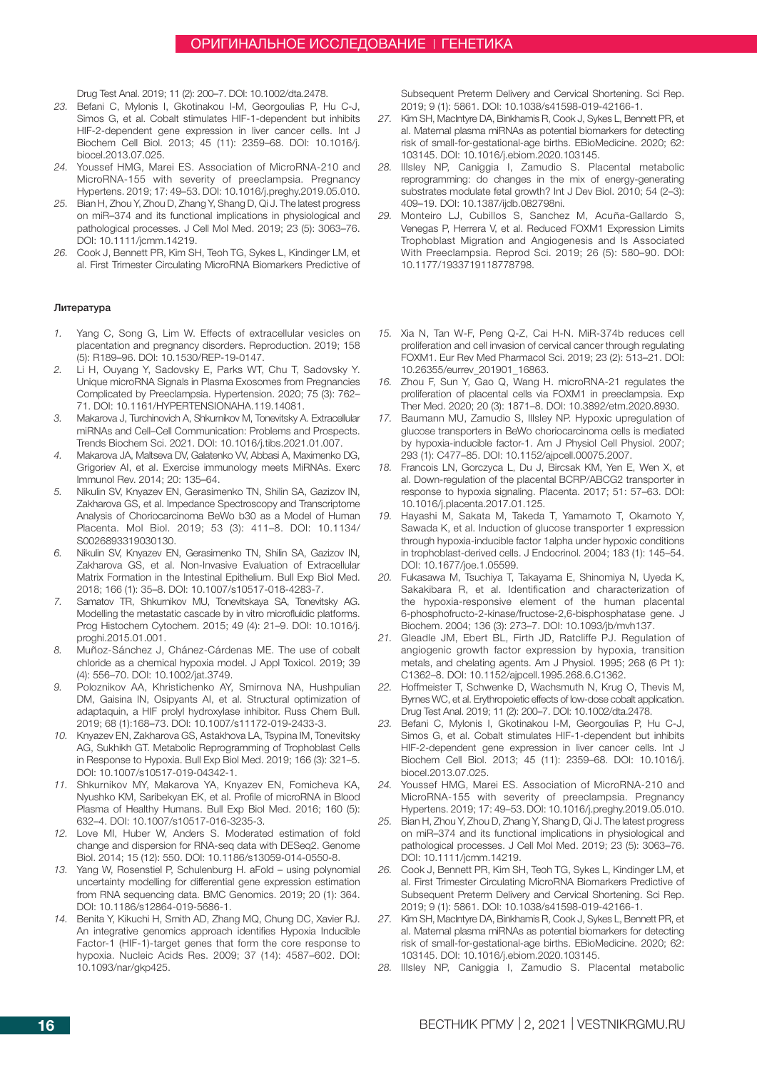Drug Test Anal. 2019; 11 (2): 200–7. DOI: 10.1002/dta.2478.

- *23.* Befani C, Mylonis I, Gkotinakou I-M, Georgoulias P, Hu C-J, Simos G, et al. Cobalt stimulates HIF-1-dependent but inhibits HIF-2-dependent gene expression in liver cancer cells. Int J Biochem Cell Biol. 2013; 45 (11): 2359–68. DOI: 10.1016/j. biocel.2013.07.025.
- *24.* Youssef HMG, Marei ES. Association of MicroRNA-210 and MicroRNA-155 with severity of preeclampsia. Pregnancy Hypertens. 2019; 17: 49–53. DOI: 10.1016/j.preghy.2019.05.010.
- *25.* Bian H, Zhou Y, Zhou D, Zhang Y, Shang D, Qi J. The latest progress on miR–374 and its functional implications in physiological and pathological processes. J Cell Mol Med. 2019; 23 (5): 3063–76. DOI: 10.1111/jcmm.14219.
- *26.* Cook J, Bennett PR, Kim SH, Teoh TG, Sykes L, Kindinger LM, et al. First Trimester Circulating MicroRNA Biomarkers Predictive of

### Литература

- *1.* Yang C, Song G, Lim W. Effects of extracellular vesicles on placentation and pregnancy disorders. Reproduction. 2019; 158 (5): R189–96. DOI: 10.1530/REP-19-0147.
- *2.* Li H, Ouyang Y, Sadovsky E, Parks WT, Chu T, Sadovsky Y. Unique microRNA Signals in Plasma Exosomes from Pregnancies Complicated by Preeclampsia. Hypertension. 2020; 75 (3): 762– 71. DOI: 10.1161/HYPERTENSIONAHA.119.14081.
- *3.* Makarova J, Turchinovich A, Shkurnikov M, Tonevitsky A. Extracellular miRNAs and Cell–Cell Communication: Problems and Prospects. Trends Biochem Sci. 2021. DOI: 10.1016/j.tibs.2021.01.007.
- *4.* Makarova JA, Maltseva DV, Galatenko VV, Abbasi A, Maximenko DG, Grigoriev AI, et al. Exercise immunology meets MiRNAs. Exerc Immunol Rev. 2014; 20: 135–64.
- *5.* Nikulin SV, Knyazev EN, Gerasimenko TN, Shilin SA, Gazizov IN, Zakharova GS, et al. Impedance Spectroscopy and Transcriptome Analysis of Choriocarcinoma BeWo b30 as a Model of Human Placenta. Mol Biol. 2019; 53 (3): 411–8. DOI: 10.1134/ S0026893319030130.
- *6.* Nikulin SV, Knyazev EN, Gerasimenko TN, Shilin SA, Gazizov IN, Zakharova GS, et al. Non-Invasive Evaluation of Extracellular Matrix Formation in the Intestinal Epithelium. Bull Exp Biol Med. 2018; 166 (1): 35–8. DOI: 10.1007/s10517-018-4283-7.
- *7.* Samatov TR, Shkurnikov MU, Tonevitskaya SA, Tonevitsky AG. Modelling the metastatic cascade by in vitro microfluidic platforms. Prog Histochem Cytochem. 2015; 49 (4): 21–9. DOI: 10.1016/j. proghi.2015.01.001.
- *8.* Muñoz-Sánchez J, Chánez-Cárdenas ME. The use of cobalt chloride as a chemical hypoxia model. J Appl Toxicol. 2019; 39 (4): 556–70. DOI: 10.1002/jat.3749.
- *9.* Poloznikov AA, Khristichenko AY, Smirnova NA, Hushpulian DM, Gaisina IN, Osipyants AI, et al. Structural optimization of adaptaquin, a HIF prolyl hydroxylase inhibitor. Russ Chem Bull. 2019; 68 (1):168–73. DOI: 10.1007/s11172-019-2433-3.
- *10.* Knyazev EN, Zakharova GS, Astakhova LA, Tsypina IM, Tonevitsky AG, Sukhikh GT. Metabolic Reprogramming of Trophoblast Cells in Response to Hypoxia. Bull Exp Biol Med. 2019; 166 (3): 321–5. DOI: 10.1007/s10517-019-04342-1.
- *11.* Shkurnikov MY, Makarova YA, Knyazev EN, Fomicheva KA, Nyushko KM, Saribekyan EK, et al. Profile of microRNA in Blood Plasma of Healthy Humans. Bull Exp Biol Med. 2016; 160 (5): 632–4. DOI: 10.1007/s10517-016-3235-3.
- *12.* Love MI, Huber W, Anders S. Moderated estimation of fold change and dispersion for RNA-seq data with DESeq2. Genome Biol. 2014; 15 (12): 550. DOI: 10.1186/s13059-014-0550-8.
- *13.* Yang W, Rosenstiel P, Schulenburg H. aFold using polynomial uncertainty modelling for differential gene expression estimation from RNA sequencing data. BMC Genomics. 2019; 20 (1): 364. DOI: 10.1186/s12864-019-5686-1.
- *14.* Benita Y, Kikuchi H, Smith AD, Zhang MQ, Chung DC, Xavier RJ. An integrative genomics approach identifies Hypoxia Inducible Factor-1 (HIF-1)-target genes that form the core response to hypoxia. Nucleic Acids Res. 2009; 37 (14): 4587–602. DOI: 10.1093/nar/gkp425.

Subsequent Preterm Delivery and Cervical Shortening. Sci Rep. 2019; 9 (1): 5861. DOI: 10.1038/s41598-019-42166-1.

- *27.* Kim SH, MacIntyre DA, Binkhamis R, Cook J, Sykes L, Bennett PR, et al. Maternal plasma miRNAs as potential biomarkers for detecting risk of small-for-gestational-age births. EBioMedicine. 2020; 62: 103145. DOI: 10.1016/j.ebiom.2020.103145.
- *28.* Illsley NP, Caniggia I, Zamudio S. Placental metabolic reprogramming: do changes in the mix of energy-generating substrates modulate fetal growth? Int J Dev Biol. 2010; 54 (2–3): 409–19. DOI: 10.1387/ijdb.082798ni.
- *29.* Monteiro LJ, Cubillos S, Sanchez M, Acuña-Gallardo S, Venegas P, Herrera V, et al. Reduced FOXM1 Expression Limits Trophoblast Migration and Angiogenesis and Is Associated With Preeclampsia. Reprod Sci. 2019; 26 (5): 580–90. DOI: 10.1177/1933719118778798.
- *15.* Xia N, Tan W-F, Peng Q-Z, Cai H-N. MiR-374b reduces cell proliferation and cell invasion of cervical cancer through regulating FOXM1. Eur Rev Med Pharmacol Sci. 2019; 23 (2): 513–21. DOI: 10.26355/eurrev\_201901\_16863.
- *16.* Zhou F, Sun Y, Gao Q, Wang H. microRNA-21 regulates the proliferation of placental cells via FOXM1 in preeclampsia. Exp Ther Med. 2020; 20 (3): 1871–8. DOI: 10.3892/etm.2020.8930.
- *17.* Baumann MU, Zamudio S, Illsley NP. Hypoxic upregulation of glucose transporters in BeWo choriocarcinoma cells is mediated by hypoxia-inducible factor-1. Am J Physiol Cell Physiol. 2007; 293 (1): C477–85. DOI: 10.1152/ajpcell.00075.2007.
- *18.* Francois LN, Gorczyca L, Du J, Bircsak KM, Yen E, Wen X, et al. Down-regulation of the placental BCRP/ABCG2 transporter in response to hypoxia signaling. Placenta. 2017; 51: 57–63. DOI: 10.1016/j.placenta.2017.01.125.
- *19.* Hayashi M, Sakata M, Takeda T, Yamamoto T, Okamoto Y, Sawada K, et al. Induction of glucose transporter 1 expression through hypoxia-inducible factor 1alpha under hypoxic conditions in trophoblast-derived cells. J Endocrinol. 2004; 183 (1): 145–54. DOI: 10.1677/joe.1.05599.
- *20.* Fukasawa M, Tsuchiya T, Takayama E, Shinomiya N, Uyeda K, Sakakibara R, et al. Identification and characterization of the hypoxia-responsive element of the human placental 6-phosphofructo-2-kinase/fructose-2,6-bisphosphatase gene. J Biochem. 2004; 136 (3): 273–7. DOI: 10.1093/jb/mvh137.
- *21.* Gleadle JM, Ebert BL, Firth JD, Ratcliffe PJ. Regulation of angiogenic growth factor expression by hypoxia, transition metals, and chelating agents. Am J Physiol. 1995; 268 (6 Pt 1): C1362–8. DOI: 10.1152/ajpcell.1995.268.6.C1362.
- *22.* Hoffmeister T, Schwenke D, Wachsmuth N, Krug O, Thevis M, Byrnes WC, et al. Erythropoietic effects of low-dose cobalt application. Drug Test Anal. 2019; 11 (2): 200–7. DOI: 10.1002/dta.2478.
- *23.* Befani C, Mylonis I, Gkotinakou I-M, Georgoulias P, Hu C-J, Simos G, et al. Cobalt stimulates HIF-1-dependent but inhibits HIF-2-dependent gene expression in liver cancer cells. Int J Biochem Cell Biol. 2013; 45 (11): 2359–68. DOI: 10.1016/j. biocel.2013.07.025.
- *24.* Youssef HMG, Marei ES. Association of MicroRNA-210 and MicroRNA-155 with severity of preeclampsia. Pregnancy Hypertens. 2019; 17: 49–53. DOI: 10.1016/j.preghy.2019.05.010.
- *25.* Bian H, Zhou Y, Zhou D, Zhang Y, Shang D, Qi J. The latest progress on miR–374 and its functional implications in physiological and pathological processes. J Cell Mol Med. 2019; 23 (5): 3063–76. DOI: 10.1111/jcmm.14219.
- *26.* Cook J, Bennett PR, Kim SH, Teoh TG, Sykes L, Kindinger LM, et al. First Trimester Circulating MicroRNA Biomarkers Predictive of Subsequent Preterm Delivery and Cervical Shortening. Sci Rep. 2019; 9 (1): 5861. DOI: 10.1038/s41598-019-42166-1.
- *27.* Kim SH, MacIntyre DA, Binkhamis R, Cook J, Sykes L, Bennett PR, et al. Maternal plasma miRNAs as potential biomarkers for detecting risk of small-for-gestational-age births. EBioMedicine. 2020; 62: 103145. DOI: 10.1016/j.ebiom.2020.103145.
- *28.* Illsley NP, Caniggia I, Zamudio S. Placental metabolic